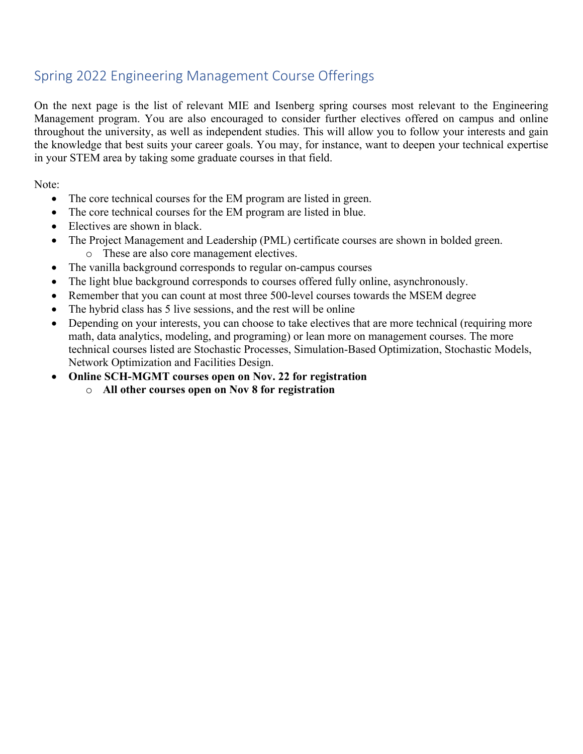## Spring 2022 Engineering Management Course Offerings

On the next page is the list of relevant MIE and Isenberg spring courses most relevant to the Engineering Management program. You are also encouraged to consider further electives offered on campus and online throughout the university, as well as independent studies. This will allow you to follow your interests and gain the knowledge that best suits your career goals. You may, for instance, want to deepen your technical expertise in your STEM area by taking some graduate courses in that field.

Note:

- The core technical courses for the EM program are listed in green.
- The core technical courses for the EM program are listed in blue.
- Electives are shown in black.
- The Project Management and Leadership (PML) certificate courses are shown in bolded green. o These are also core management electives.
- The vanilla background corresponds to regular on-campus courses
- The light blue background corresponds to courses offered fully online, asynchronously.
- Remember that you can count at most three 500-level courses towards the MSEM degree
- The hybrid class has 5 live sessions, and the rest will be online
- Depending on your interests, you can choose to take electives that are more technical (requiring more math, data analytics, modeling, and programing) or lean more on management courses. The more technical courses listed are Stochastic Processes, Simulation-Based Optimization, Stochastic Models, Network Optimization and Facilities Design.
- **Online SCH-MGMT courses open on Nov. 22 for registration**
	- o **All other courses open on Nov 8 for registration**